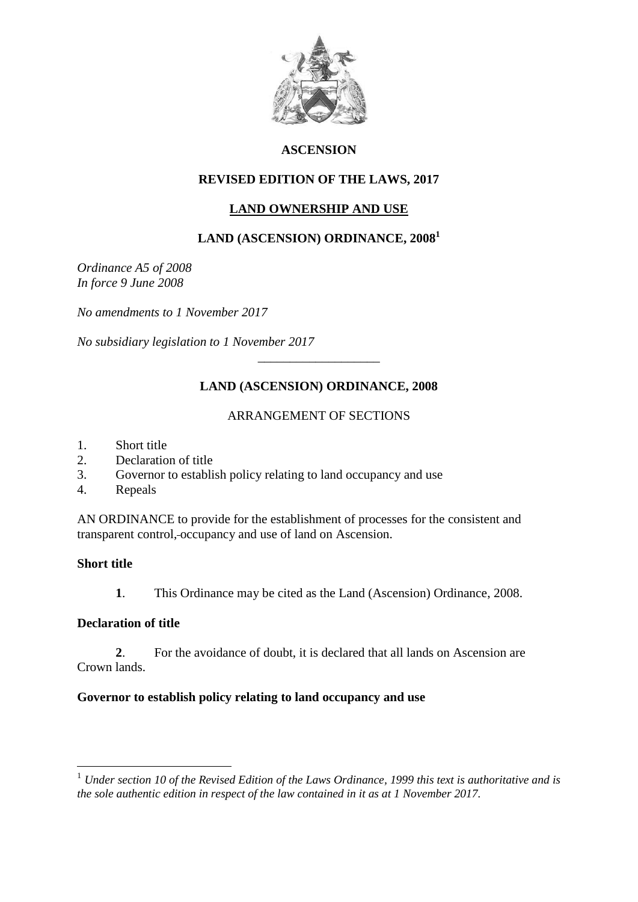

### **ASCENSION**

## **REVISED EDITION OF THE LAWS, 2017**

# **LAND OWNERSHIP AND USE**

# **LAND (ASCENSION) ORDINANCE, 2008<sup>1</sup>**

*Ordinance A5 of 2008 In force 9 June 2008*

*No amendments to 1 November 2017*

*No subsidiary legislation to 1 November 2017*

# **LAND (ASCENSION) ORDINANCE, 2008**

\_\_\_\_\_\_\_\_\_\_\_\_\_\_\_\_\_\_\_

### ARRANGEMENT OF SECTIONS

- 1. Short title
- 2. Declaration of title
- 3. Governor to establish policy relating to land occupancy and use
- 4. Repeals

AN ORDINANCE to provide for the establishment of processes for the consistent and transparent control, occupancy and use of land on Ascension.

### **Short title**

<u>.</u>

**1**. This Ordinance may be cited as the Land (Ascension) Ordinance, 2008.

### **Declaration of title**

**2**. For the avoidance of doubt, it is declared that all lands on Ascension are Crown lands.

### **Governor to establish policy relating to land occupancy and use**

<sup>1</sup> *Under section 10 of the Revised Edition of the Laws Ordinance, 1999 this text is authoritative and is the sole authentic edition in respect of the law contained in it as at 1 November 2017.*